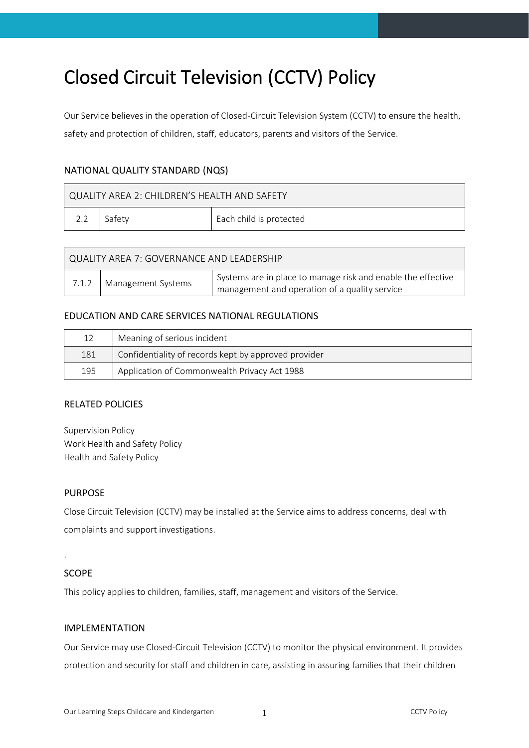# Closed Circuit Television (CCTV) Policy

Our Service believes in the operation of Closed-Circuit Television System (CCTV) to ensure the health, safety and protection of children, staff, educators, parents and visitors of the Service.

## NATIONAL QUALITY STANDARD (NQS)

| QUALITY AREA 2: CHILDREN'S HEALTH AND SAFETY |        |                         |  |  |  |
|----------------------------------------------|--------|-------------------------|--|--|--|
|                                              | Safetv | Each child is protected |  |  |  |

| QUALITY AREA 7: GOVERNANCE AND LEADERSHIP |                            |                                                              |  |  |  |
|-------------------------------------------|----------------------------|--------------------------------------------------------------|--|--|--|
|                                           | 7.1.2   Management Systems | Systems are in place to manage risk and enable the effective |  |  |  |
|                                           |                            | management and operation of a quality service                |  |  |  |

#### EDUCATION AND CARE SERVICES NATIONAL REGULATIONS

| 12  | Meaning of serious incident                          |
|-----|------------------------------------------------------|
| 181 | Confidentiality of records kept by approved provider |
| 195 | Application of Commonwealth Privacy Act 1988         |

#### RELATED POLICIES

Supervision Policy Work Health and Safety Policy Health and Safety Policy

#### PURPOSE

Close Circuit Television (CCTV) may be installed at the Service aims to address concerns, deal with complaints and support investigations.

#### SCOPE

.

This policy applies to children, families, staff, management and visitors of the Service.

#### IMPLEMENTATION

Our Service may use Closed-Circuit Television (CCTV) to monitor the physical environment. It provides protection and security for staff and children in care, assisting in assuring families that their children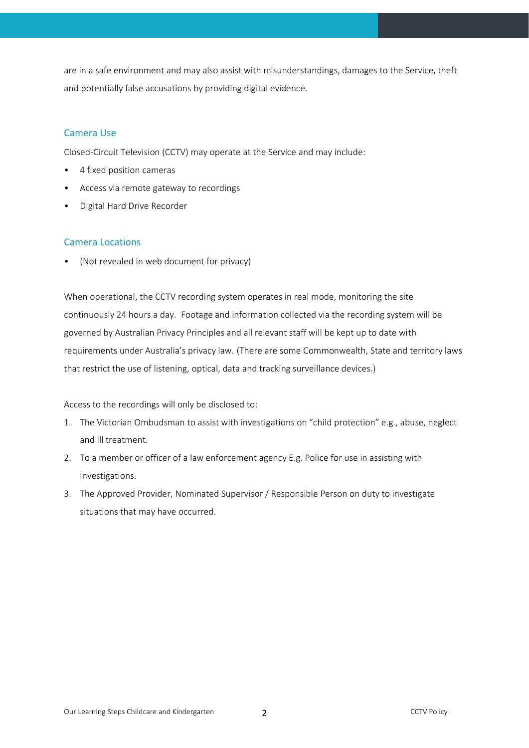are in a safe environment and may also assist with misunderstandings, damages to the Service, theft and potentially false accusations by providing digital evidence.

### Camera Use

Closed-Circuit Television (CCTV) may operate at the Service and may include:

- 4 fixed position cameras
- Access via remote gateway to recordings
- Digital Hard Drive Recorder

## Camera Locations

• (Not revealed in web document for privacy)

When operational, the CCTV recording system operates in real mode, monitoring the site continuously 24 hours a day. Footage and information collected via the recording system will be governed by Australian Privacy Principles and all relevant staff will be kept up to date with requirements under Australia's privacy law. (There are some Commonwealth, State and territory laws that restrict the use of listening, optical, data and tracking surveillance devices.)

Access to the recordings will only be disclosed to:

- 1. The Victorian Ombudsman to assist with investigations on "child protection" e.g., abuse, neglect and ill treatment.
- 2. To a member or officer of a law enforcement agency E.g. Police for use in assisting with investigations.
- 3. The Approved Provider, Nominated Supervisor / Responsible Person on duty to investigate situations that may have occurred.